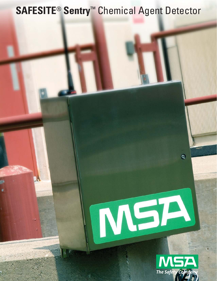# **SAFESITE**® **Sentry**™ Chemical Agent Detector



MSA

 $\Theta$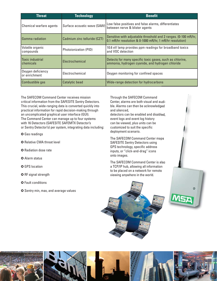| <b>Threat</b>                      | <b>Technology</b>            | <b>Benefit</b>                                                                                                              |
|------------------------------------|------------------------------|-----------------------------------------------------------------------------------------------------------------------------|
| Chemical warfare agents            | Surface acoustic wave (SAW)  | Low false positives and false alarms, differentiates<br>between nerve & blister agents                                      |
| Gamma radiation                    | Cadmium zinc telluride (CZT) | Sensitive with adjustable threshold and 2 ranges. (0-100 mR/hr,<br>0.1 mR/hr resolution & 0-1000 mR/hr, 1 mR/hr resolution) |
| Volatile organic<br>compounds      | <b>Photoionization (PID)</b> | 10.6 eV lamp provides ppm readings for broadband toxics<br>and VOC detection                                                |
| Toxic industrial<br>chemicals      | Electrochemical              | Detects for many specific toxic gases, such as chlorine,<br>ammonia, hydrogen cyanide, and hydrogen chloride                |
| Oxygen deficiency<br>or enrichment | Electrochemical              | Oxygen monitoring for confined spaces                                                                                       |
| Combustible gas                    | Catalytic bead               | Wide-range detection for hydrocarbons                                                                                       |

The SAFECOM Command Center receives mission critical information from the SAFESITE Sentry Detectors. This crucial, wide-ranging data is converted quickly into practical information for rapid decision-making through an uncomplicated graphical user interface (GUI). The Command Center can manage up to four systems with 16 Detectors (SAFESITE SAFEMTX Detector's or Sentry Detector's) per system, integrating data including:

- **O** Gas readings
- **O** Relative CWA threat level
- **O** Radiation dose rate
- **O** Alarm status
- **O** GPS location
- O RF signal strength
- **O** Fault conditions
- **O** Sentry min, max, and average values

Through the SAFECOM Command Center, alarms are both visual and audible. Alarms can then be acknowledged and silenced,

detectors can be enabled and disabled, event logs and event log history can be viewed, plus units can be customized to suit the specific deployment scenario.

The SAFECOM Command Center maps SAFESITE Sentry Detectors using GPS technology, specific address inputs, or "click-and-drag" icons onto images.

The SAFECOM Command Center is also a TCP/IP hub, allowing all information to be placed on a network for remote viewing anywhere in the world.





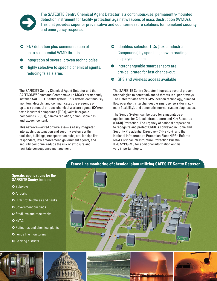

The SAFESITE Sentry Chemical Agent Detector is a continuous-use, permanently-mounted detection instrument for facility protection against weapons of mass destruction (WMDs). This unit provides superior preventative and countermeasure solutions for homeland security and emergency response.

- 5 24/7 detection plus communication of up to six potential WMD threats
- $\bullet$  Integration of several proven technologies
- $\bullet$  Highly selective to specific chemical agents, reducing false alarms

The SAFESITE Sentry Chemical Agent Detector and the SAFECOM™ Command Center make up MSA's permanently installed SAFESITE Sentry system. This system continuously monitors, detects, and communicates the presence of up to six potential threats: chemical warfare agents (CWAs), toxic industrial compounds (TICs), volatile organic compounds (VOCs), gamma radiation, combustible gas, and oxygen content.

This network—wired or wireless—is easily integrated into existing automation and security systems within facilities, buildings, transportation hubs, etc. It helps first responders, law enforcement, government agents, and security personnel reduce the risk of exposure and facilitate consequence management.

- $\bullet$  Identifies selected TICs (Toxic Industrial Compounds) by specific gas with readings displayed in ppm
- 5 Interchangeable smart sensors are pre-calibrated for fast change-out
- $\bullet$  GPS and wireless access available

The SAFESITE Sentry Detector integrates several proven technologies to detect advanced threats in superior ways. The Detector also offers GPS location technology, pumped flow operation, interchangeable smart sensors (for maximum flexibility), and automatic internal system diagnostics.

The Sentry System can be used for a magnitude of applications for Critical Infrastructure and Key Resource (CI/KR) Protection. The urgency of national preparation to recognize and protect CI/KR is conveyed in Homeland Security Presidential Directive – 7 (HSPD-7) and the National Infrastructure Protection Plan (NIPP). Refer to MSA's Critical Infrastructure Protection Bulletin ID#07-2139-MC for additional information on this very important topic.



# **Fence line monitoring of chemical plant utilizing SAFESITE Sentry Detector**

### **Specific applications for the SAFESITE Sentry include:**

- **O** Subways
- **O** Airports
- **O** High profile offices and banks
- **O** Government buildings
- **O** Stadiums and race tracks
- **O** HVAC
- **O** Refineries and chemical plants
- **O** Fence line monitoring
- **O** Banking districts







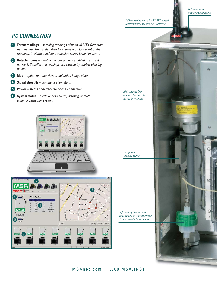*GPS antenna for instrument positioning.*

Ø4

*3 dB high-gain antenna for 900 MHz spread spectrum frequency hopping 1 watt radio.*

## *PC CONNECTION*

- **q Threat readings** *scrolling readings of up to 16 MTX Detectors per channel. Unit is identified by a large icon to the left of the readings. In alarm condition, a display snaps to unit in alarm.*
- **w Detector icons** *identify number of units enabled in current network. Specific unit readings are viewed by double-clicking on icon.*
- **e Map** *option for map view or uploaded image view.*
- **r Signal strength** *communication status*
- **t Power** *status of battery life or line connection*
- **y System status** *alerts user to alarm, warning or fault within a particular system.*





*High-capacity filter ensures clean sample* 

*for the SAW sensor.*

*CZT gamma radiation sensor.*

*High capacity filter ensures clean sample for electrochemical, PID and catalytic bead sensors.*

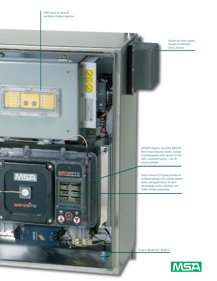$\Omega$ 

 $69$ 

 $\circledcirc$ 

<u>SAFEMTX</u>

 $\overline{\mathbf{0}}$  $-20.8$ **CLR** 

 $\circ$ 

ة.<br>QO

 $\hat{\theta}$ 

列

ý

Ś

**MSA** 

**SAFESTE** 

อาการ

*Exhaust fan draws sample through the SAFESITE Sentry Detector.*

*SAFEMTX Detector from MSA SAFESITE Multi-Threat Detection System. Includes 4 interchangeable smart sensors for TICs, VOCs, combustible and*  $0<sub>2</sub>$  *– over 30 sensors available.*

*State-of-the-art LCD display provides all six threat readings; LEDs indicate detector status; and keypad allows for alarm acknowledge, sensor calibration, and system setting configuration.*

*Power in 90-240 VAC, 50/60 Hz*